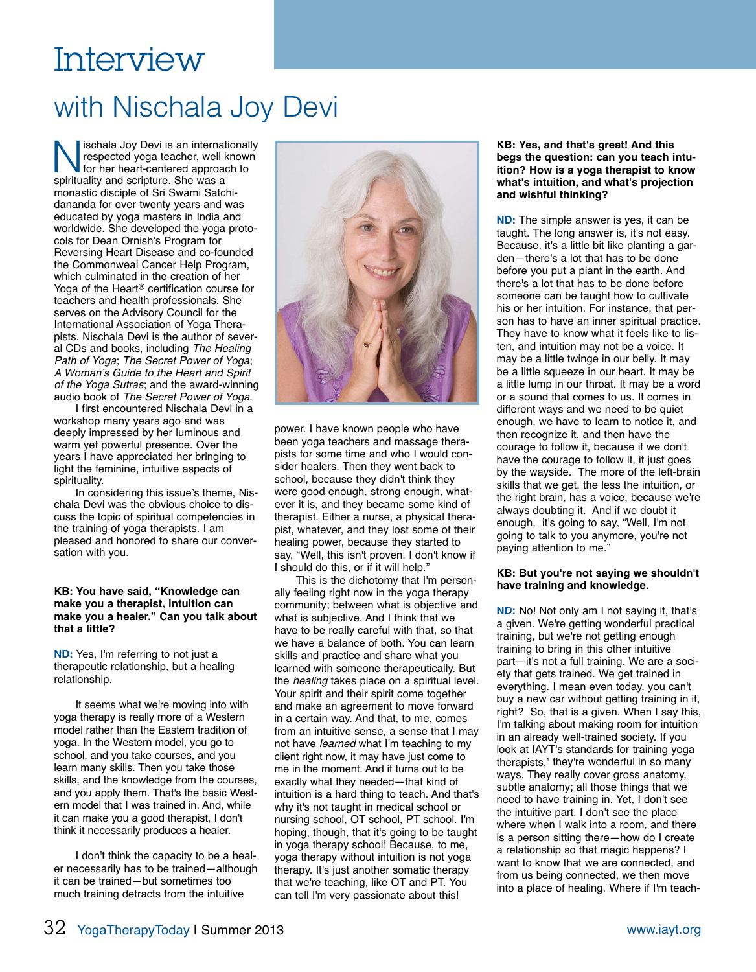# Interview

## with Nischala Joy Devi

Schala Joy Devi is an internationally<br>respected yoga teacher, well known<br>for her heart-centered approach to<br>spirituality and scripture. She was a respected yoga teacher, well known for her heart-centered approach to spirituality and scripture. She was a monastic disciple of Sri Swami Satchidananda for over twenty years and was educated by yoga masters in India and worldwide. She developed the yoga protocols for Dean Ornish's Program for Reversing Heart Disease and co-founded the Commonweal Cancer Help Program, which culminated in the creation of her Yoga of the Heart® certification course for teachers and health professionals. She serves on the Advisory Council for the International Association of Yoga Therapists. Nischala Devi is the author of several CDs and books, including *The Healing Path of Yoga*; *The Secret Power of Yoga*; *A Woman's Guide to the Heart and Spirit of the Yoga Sutras*; and the award-winning audio book of *The Secret Power of Yoga*.

I first encountered Nischala Devi in a workshop many years ago and was deeply impressed by her luminous and warm yet powerful presence. Over the years I have appreciated her bringing to light the feminine, intuitive aspects of spirituality.

In considering this issue's theme, Nischala Devi was the obvious choice to discuss the topic of spiritual competencies in the training of yoga therapists. I am pleased and honored to share our conversation with you.

#### **KB: You have said, "Knowledge can make you a therapist, intuition can make you a healer." Can you talk about that a little?**

**ND:** Yes, I'm referring to not just a therapeutic relationship, but a healing relationship.

It seems what we're moving into with yoga therapy is really more of a Western model rather than the Eastern tradition of yoga. In the Western model, you go to school, and you take courses, and you learn many skills. Then you take those skills, and the knowledge from the courses, and you apply them. That's the basic Western model that I was trained in. And, while it can make you a good therapist, I don't think it necessarily produces a healer.

I don't think the capacity to be a healer necessarily has to be trained—although it can be trained—but sometimes too much training detracts from the intuitive



power. I have known people who have been yoga teachers and massage therapists for some time and who I would consider healers. Then they went back to school, because they didn't think they were good enough, strong enough, whatever it is, and they became some kind of therapist. Either a nurse, a physical therapist, whatever, and they lost some of their healing power, because they started to say, "Well, this isn't proven. I don't know if I should do this, or if it will help."

This is the dichotomy that I'm personally feeling right now in the yoga therapy community; between what is objective and what is subjective. And I think that we have to be really careful with that, so that we have a balance of both. You can learn skills and practice and share what you learned with someone therapeutically. But the *healing* takes place on a spiritual level. Your spirit and their spirit come together and make an agreement to move forward in a certain way. And that, to me, comes from an intuitive sense, a sense that I may not have *learned* what I'm teaching to my client right now, it may have just come to me in the moment. And it turns out to be exactly what they needed—that kind of intuition is a hard thing to teach. And that's why it's not taught in medical school or nursing school, OT school, PT school. I'm hoping, though, that it's going to be taught in yoga therapy school! Because, to me, yoga therapy without intuition is not yoga therapy. It's just another somatic therapy that we're teaching, like OT and PT. You can tell I'm very passionate about this!

#### **KB: Yes, and that's great! And this begs the question: can you teach intuition? How is a yoga therapist to know what's intuition, and what's projection and wishful thinking?**

**ND:** The simple answer is yes, it can be taught. The long answer is, it's not easy. Because, it's a little bit like planting a garden—there's a lot that has to be done before you put a plant in the earth. And there's a lot that has to be done before someone can be taught how to cultivate his or her intuition. For instance, that person has to have an inner spiritual practice. They have to know what it feels like to listen, and intuition may not be a voice. It may be a little twinge in our belly. It may be a little squeeze in our heart. It may be a little lump in our throat. It may be a word or a sound that comes to us. It comes in different ways and we need to be quiet enough, we have to learn to notice it, and then recognize it, and then have the courage to follow it, because if we don't have the courage to follow it, it just goes by the wayside. The more of the left-brain skills that we get, the less the intuition, or the right brain, has a voice, because we're always doubting it. And if we doubt it enough, it's going to say, "Well, I'm not going to talk to you anymore, you're not paying attention to me."

### **KB: But you're not saying we shouldn't have training and knowledge.**

**ND:** No! Not only am I not saying it, that's a given. We're getting wonderful practical training, but we're not getting enough training to bring in this other intuitive part—it's not a full training. We are a society that gets trained. We get trained in everything. I mean even today, you can't buy a new car without getting training in it, right? So, that is a given. When I say this, I'm talking about making room for intuition in an already well-trained society. If you look at IAYT's standards for training yoga therapists,<sup>1</sup> they're wonderful in so many ways. They really cover gross anatomy, subtle anatomy; all those things that we need to have training in. Yet, I don't see the intuitive part. I don't see the place where when I walk into a room, and there is a person sitting there—how do I create a relationship so that magic happens? I want to know that we are connected, and from us being connected, we then move into a place of healing. Where if I'm teach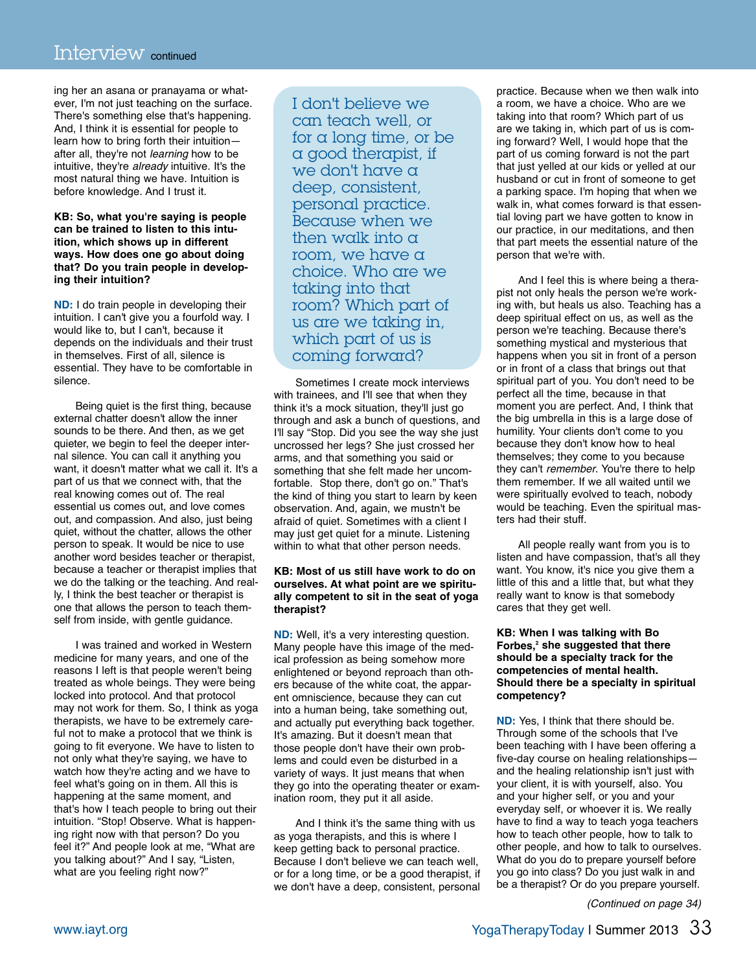ing her an asana or pranayama or whatever, I'm not just teaching on the surface. There's something else that's happening. And, I think it is essential for people to learn how to bring forth their intuition after all, they're not *learning* how to be intuitive, they're *already* intuitive. It's the most natural thing we have. Intuition is before knowledge. And I trust it.

#### **KB: So, what you're saying is people can be trained to listen to this intuition, which shows up in different ways. How does one go about doing that? Do you train people in developing their intuition?**

**ND:** I do train people in developing their intuition. I can't give you a fourfold way. I would like to, but I can't, because it depends on the individuals and their trust in themselves. First of all, silence is essential. They have to be comfortable in silence.

Being quiet is the first thing, because external chatter doesn't allow the inner sounds to be there. And then, as we get quieter, we begin to feel the deeper internal silence. You can call it anything you want, it doesn't matter what we call it. It's a part of us that we connect with, that the real knowing comes out of. The real essential us comes out, and love comes out, and compassion. And also, just being quiet, without the chatter, allows the other person to speak. It would be nice to use another word besides teacher or therapist, because a teacher or therapist implies that we do the talking or the teaching. And really, I think the best teacher or therapist is one that allows the person to teach themself from inside, with gentle guidance.

I was trained and worked in Western medicine for many years, and one of the reasons I left is that people weren't being treated as whole beings. They were being locked into protocol. And that protocol may not work for them. So, I think as yoga therapists, we have to be extremely careful not to make a protocol that we think is going to fit everyone. We have to listen to not only what they're saying, we have to watch how they're acting and we have to feel what's going on in them. All this is happening at the same moment, and that's how I teach people to bring out their intuition. "Stop! Observe. What is happening right now with that person? Do you feel it?" And people look at me, "What are you talking about?" And I say, "Listen, what are you feeling right now?"

I don't believe we can teach well, or for a long time, or be a good therapist, if we don't have a deep, consistent, personal practice. Because when we then walk into a room, we have a choice. Who are we taking into that room? Which part of us are we taking in, which part of us is coming forward?

Sometimes I create mock interviews with trainees, and I'll see that when they think it's a mock situation, they'll just go through and ask a bunch of questions, and I'll say "Stop. Did you see the way she just uncrossed her legs? She just crossed her arms, and that something you said or something that she felt made her uncomfortable. Stop there, don't go on." That's the kind of thing you start to learn by keen observation. And, again, we mustn't be afraid of quiet. Sometimes with a client I may just get quiet for a minute. Listening within to what that other person needs.

#### **KB: Most of us still have work to do on ourselves. At what point are we spiritually competent to sit in the seat of yoga therapist?**

**ND:** Well, it's a very interesting question. Many people have this image of the medical profession as being somehow more enlightened or beyond reproach than others because of the white coat, the apparent omniscience, because they can cut into a human being, take something out, and actually put everything back together. It's amazing. But it doesn't mean that those people don't have their own problems and could even be disturbed in a variety of ways. It just means that when they go into the operating theater or examination room, they put it all aside.

And I think it's the same thing with us as yoga therapists, and this is where I keep getting back to personal practice. Because I don't believe we can teach well, or for a long time, or be a good therapist, if we don't have a deep, consistent, personal

practice. Because when we then walk into a room, we have a choice. Who are we taking into that room? Which part of us are we taking in, which part of us is coming forward? Well, I would hope that the part of us coming forward is not the part that just yelled at our kids or yelled at our husband or cut in front of someone to get a parking space. I'm hoping that when we walk in, what comes forward is that essential loving part we have gotten to know in our practice, in our meditations, and then that part meets the essential nature of the person that we're with.

And I feel this is where being a therapist not only heals the person we're working with, but heals us also. Teaching has a deep spiritual effect on us, as well as the person we're teaching. Because there's something mystical and mysterious that happens when you sit in front of a person or in front of a class that brings out that spiritual part of you. You don't need to be perfect all the time, because in that moment you are perfect. And, I think that the big umbrella in this is a large dose of humility. Your clients don't come to you because they don't know how to heal themselves; they come to you because they can't *remember*. You're there to help them remember. If we all waited until we were spiritually evolved to teach, nobody would be teaching. Even the spiritual masters had their stuff.

All people really want from you is to listen and have compassion, that's all they want. You know, it's nice you give them a little of this and a little that, but what they really want to know is that somebody cares that they get well.

#### **KB: When I was talking with Bo** Forbes,<sup>2</sup> she suggested that there **should be a specialty track for the competencies of mental health. Should there be a specialty in spiritual competency?**

**ND:** Yes, I think that there should be. Through some of the schools that I've been teaching with I have been offering a five-day course on healing relationships and the healing relationship isn't just with your client, it is with yourself, also. You and your higher self, or you and your everyday self, or whoever it is. We really have to find a way to teach yoga teachers how to teach other people, how to talk to other people, and how to talk to ourselves. What do you do to prepare yourself before you go into class? Do you just walk in and be a therapist? Or do you prepare yourself.

*(Continued on page 34)*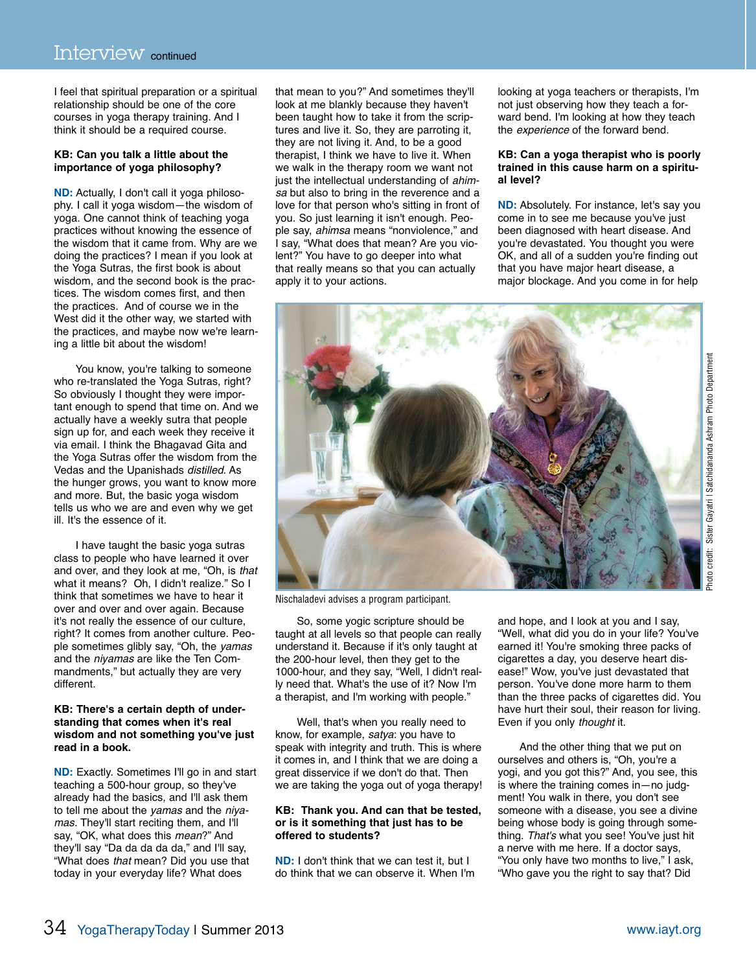I feel that spiritual preparation or a spiritual relationship should be one of the core courses in yoga therapy training. And I think it should be a required course.

#### **KB: Can you talk a little about the importance of yoga philosophy?**

**ND:** Actually, I don't call it yoga philosophy. I call it yoga wisdom—the wisdom of yoga. One cannot think of teaching yoga practices without knowing the essence of the wisdom that it came from. Why are we doing the practices? I mean if you look at the Yoga Sutras, the first book is about wisdom, and the second book is the practices. The wisdom comes first, and then the practices. And of course we in the West did it the other way, we started with the practices, and maybe now we're learning a little bit about the wisdom!

You know, you're talking to someone who re-translated the Yoga Sutras, right? So obviously I thought they were important enough to spend that time on. And we actually have a weekly sutra that people sign up for, and each week they receive it via email. I think the Bhagavad Gita and the Yoga Sutras offer the wisdom from the Vedas and the Upanishads *distilled*. As the hunger grows, you want to know more and more. But, the basic yoga wisdom tells us who we are and even why we get ill. It's the essence of it.

I have taught the basic yoga sutras class to people who have learned it over and over, and they look at me, "Oh, is *that* what it means? Oh, I didn't realize." So I think that sometimes we have to hear it over and over and over again. Because it's not really the essence of our culture, right? It comes from another culture. People sometimes glibly say, "Oh, the *yamas* and the *niyamas* are like the Ten Commandments," but actually they are very different.

#### **KB: There's a certain depth of understanding that comes when it's real wisdom and not something you've just read in a book.**

**ND:** Exactly. Sometimes I'll go in and start teaching a 500-hour group, so they've already had the basics, and I'll ask them to tell me about the *yamas* and the *niyamas.* They'll start reciting them, and I'll say, "OK, what does this *mean*?" And they'll say "Da da da da da," and I'll say, "What does *that* mean? Did you use that today in your everyday life? What does

that mean to you?" And sometimes they'll look at me blankly because they haven't been taught how to take it from the scriptures and live it. So, they are parroting it, they are not living it. And, to be a good therapist, I think we have to live it. When we walk in the therapy room we want not just the intellectual understanding of *ahimsa* but also to bring in the reverence and a love for that person who's sitting in front of you. So just learning it isn't enough. People say, *ahimsa* means "nonviolence," and I say, "What does that mean? Are you violent?" You have to go deeper into what that really means so that you can actually apply it to your actions.

looking at yoga teachers or therapists, I'm not just observing how they teach a forward bend. I'm looking at how they teach the *experience* of the forward bend.

#### **KB: Can a yoga therapist who is poorly trained in this cause harm on a spiritual level?**

**ND:** Absolutely. For instance, let's say you come in to see me because you've just been diagnosed with heart disease. And you're devastated. You thought you were OK, and all of a sudden you're finding out that you have major heart disease, a major blockage. And you come in for help



Nischaladevi advises a program participant.

So, some yogic scripture should be taught at all levels so that people can really understand it. Because if it's only taught at the 200-hour level, then they get to the 1000-hour, and they say, "Well, I didn't really need that. What's the use of it? Now I'm a therapist, and I'm working with people."

Well, that's when you really need to know, for example, *satya*: you have to speak with integrity and truth. This is where it comes in, and I think that we are doing a great disservice if we don't do that. Then we are taking the yoga out of yoga therapy!

#### **KB: Thank you. And can that be tested, or is it something that just has to be offered to students?**

**ND:** I don't think that we can test it, but I do think that we can observe it. When I'm and hope, and I look at you and I say, "Well, what did you do in your life? You've earned it! You're smoking three packs of cigarettes a day, you deserve heart disease!" Wow, you've just devastated that person. You've done more harm to them than the three packs of cigarettes did. You have hurt their soul, their reason for living. Even if you only *thought* it.

And the other thing that we put on ourselves and others is, "Oh, you're a yogi, and you got this?" And, you see, this is where the training comes in—no judgment! You walk in there, you don't see someone with a disease, you see a divine being whose body is going through something. *That's* what you see! You've just hit a nerve with me here. If a doctor says, "You only have two months to live," I ask, "Who gave you the right to say that? Did